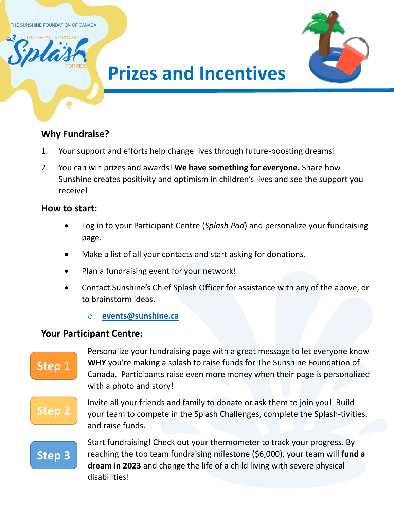THE SUNSHINE FOUNDATION OF CANADA



# **Prizes and Incentives**

### **Why Fundraise?**

- 1. Your support and efforts help change lives through future-boosting dreams!
- 2. You can win prizes and awards! **We have something for everyone.** Share how Sunshine creates positivity and optimism in children's lives and see the support you receive!

### **How to start:**

- Log in to your Participant Centre (*Splash Pad*) and personalize your fundraising page.
- Make a list of all your contacts and start asking for donations.
- Plan a fundraising event for your network!
- Contact Sunshine's Chief Splash Officer for assistance with any of the above, or to brainstorm ideas.
	- o **[events@sunshine.ca](mailto:events@sunshine.ca)**

### **Your Participant Centre:**

### **Step 1**

Personalize your fundraising page with a great message to let everyone know **WHY** you're making a splash to raise funds for The Sunshine Foundation of Canada. Participants raise even more money when their page is personalized with a photo and story!

## **Step 2**

Invite all your friends and family to donate or ask them to join you! Build your team to compete in the Splash Challenges, complete the Splash-tivities, and raise funds.

## **Step 3**

Start fundraising! Check out your thermometer to track your progress. By reaching the top team fundraising milestone (\$6,000), your team will **fund a dream in 2023** and change the life of a child living with severe physical disabilities!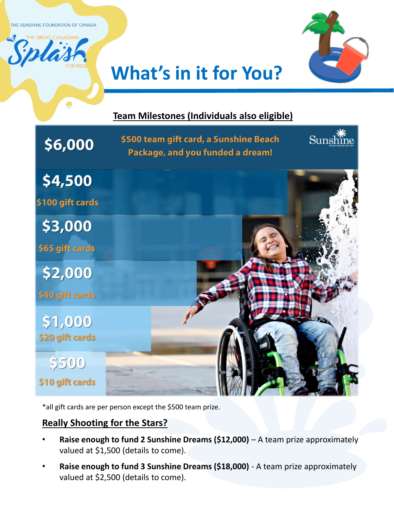THE SUNSHINE FOUNDATION OF CANADA



# **What's in it for You?**

## **Team Milestones (Individuals also eligible)**  Sunshine \$500 team gift card, a Sunshine Beach \$6,000 Package, and you funded a dream! \$4,500 \$100 gift cards \$3,000 \$65 gift cards \$2,000 \$40 gift cards \$1,000 \$20 gift cards \$500 \$10 gift cards

\*all gift cards are per person except the \$500 team prize.

### **Really Shooting for the Stars?**

- **Raise enough to fund 2 Sunshine Dreams (\$12,000)** A team prize approximately valued at \$1,500 (details to come).
- **Raise enough to fund 3 Sunshine Dreams (\$18,000)**  A team prize approximately valued at \$2,500 (details to come).